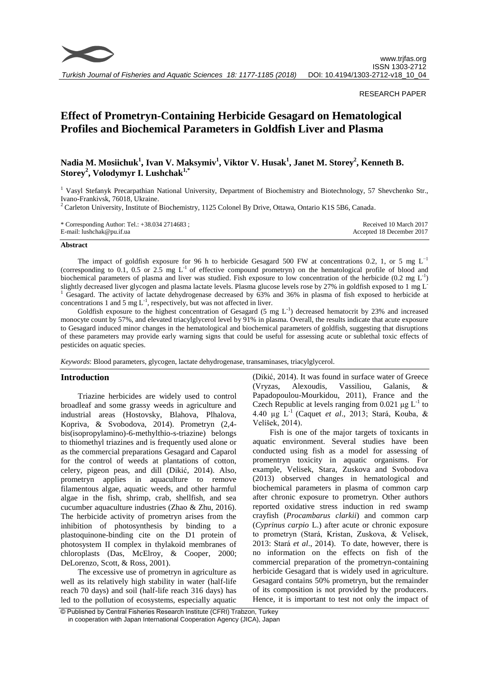

RESEARCH PAPER

# **Effect of Prometryn-Containing Herbicide Gesagard on Hematological Profiles and Biochemical Parameters in Goldfish Liver and Plasma**

# **Nadia M. Mosiichuk<sup>1</sup> , Ivan V. Maksymiv<sup>1</sup> , Viktor V. Husak<sup>1</sup> , Janet M. Storey<sup>2</sup> , Kenneth B. Storey<sup>2</sup> , Volodymyr I. Lushchak1,\***

<sup>1</sup> Vasyl Stefanyk Precarpathian National University, Department of Biochemistry and Biotechnology, 57 Shevchenko Str., Ivano-Frankivsk, 76018, Ukraine.

 $2^2$  Carleton University, Institute of Biochemistry, 1125 Colonel By Drive, Ottawa, Ontario K1S 5B6, Canada.

| * Corresponding Author: Tel.: $+38.034$ 2714683; | Received 10 March 2017    |
|--------------------------------------------------|---------------------------|
| E-mail: lushchak@pu.if.ua                        | Accepted 18 December 2017 |

#### **Abstract**

The impact of goldfish exposure for 96 h to herbicide Gesagard 500 FW at concentrations 0.2, 1, or 5 mg  $L^{-1}$ (corresponding to 0.1, 0.5 or 2.5 mg  $L^{-1}$  of effective compound prometryn) on the hematological profile of blood and biochemical parameters of plasma and liver was studied. Fish exposure to low concentration of the herbicide  $(0.2 \text{ mg } L^{-1})$ slightly decreased liver glycogen and plasma lactate levels. Plasma glucose levels rose by 27% in goldfish exposed to 1 mg L-<sup>1</sup> Gesagard. The activity of lactate dehydrogenase decreased by 63% and 36% in plasma of fish exposed to herbicide at concentrations 1 and 5 mg  $L^{-1}$ , respectively, but was not affected in liver.

Goldfish exposure to the highest concentration of Gesagard (5 mg  $L^{-1}$ ) decreased hematocrit by 23% and increased monocyte count by 57%, and elevated triacylglycerol level by 91% in plasma. Overall, the results indicate that acute exposure to Gesagard induced minor changes in the hematological and biochemical parameters of goldfish, suggesting that disruptions of these parameters may provide early warning signs that could be useful for assessing acute or sublethal toxic effects of pesticides on aquatic species.

*Keywords*: Blood parameters, glycogen, lactate dehydrogenase, transaminases, triacylglycerol.

# **Introduction**

Triazine herbicides are widely used to control broadleaf and some grassy weeds in agriculture and industrial areas (Hostovsky, Blahova, Plhalova, Kopriva, & Svobodova, 2014). Prometryn (2,4 bis(isopropylamino)-6-methylthio-s-triazine) belongs to thiomethyl triazines and is frequently used alone or as the commercial preparations Gesagard and Caparol for the control of weeds at plantations of cotton, celery, pigeon peas, and dill (Dikić, 2014). Also, prometryn applies in aquaculture to remove filamentous algae, aquatic weeds, and other harmful algae in the fish, shrimp, crab, shellfish, and sea cucumber aquaculture industries (Zhao & Zhu, 2016). The herbicide activity of prometryn arises from the inhibition of photosynthesis by binding to a plastoquinone-binding cite on the D1 protein of photosystem II complex in thylakoid membranes of chloroplasts (Das, McElroy, & Cooper, 2000; DeLorenzo, Scott, & Ross, 2001).

The excessive use of prometryn in agriculture as well as its relatively high stability in water (half-life reach 70 days) and soil (half-life reach 316 days) has led to the pollution of ecosystems, especially aquatic (Dikić, 2014). It was found in surface water of Greece (Vryzas, Alexoudis, Vassiliou, Galanis, & Papadopoulou-Mourkidou, 2011), France and the Czech Republic at levels ranging from 0.021  $\mu$ g L<sup>-1</sup> to 4.40 µg L-1 (Caquet *et al*., 2013; Stará, Kouba, & Velíšek, 2014).

Fish is one of the major targets of toxicants in aquatic environment. Several studies have been conducted using fish as a model for assessing of promentryn toxicity in aquatic organisms. For example, Velisek, Stara, Zuskova and Svobodova (2013) observed changes in hematological and biochemical parameters in plasma of common carp after chronic exposure to prometryn. Other authors reported oxidative stress induction in red swamp crayfish (*Procambarus clarkii*) and common carp (*Cyprinus carpio* L.) after acute or chronic exposure to prometryn (Stará, Kristan, Zuskova, & Velisek, 2013: Stará *et al*., 2014). To date, however, there is no information on the effects on fish of the commercial preparation of the prometryn-containing herbicide Gesagard that is widely used in agriculture. Gesagard contains 50% prometryn, but the remainder of its composition is not provided by the producers. Hence, it is important to test not only the impact of

<sup>©</sup> Published by Central Fisheries Research Institute (CFRI) Trabzon, Turkey in cooperation with Japan International Cooperation Agency (JICA), Japan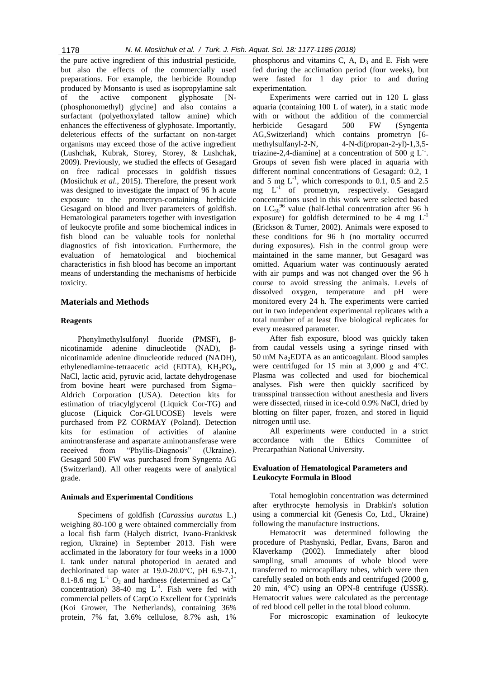the pure active ingredient of this industrial pesticide, but also the effects of the commercially used preparations. For example, the herbicide Roundup produced by Monsanto is used as isopropylamine salt of the active component glyphosate [N- (phosphonomethyl) glycine] and also contains a surfactant (polyethoxylated tallow amine) which enhances the effectiveness of glyphosate. Importantly, deleterious effects of the surfactant on non-target organisms may exceed those of the active ingredient (Lushchak, Kubrak, Storey, Storey, & Lushchak, 2009). Previously, we studied the effects of Gesagard on free radical processes in goldfish tissues (Mosiichuk *et al*., 2015). Therefore, the present work was designed to investigate the impact of 96 h acute exposure to the prometryn-containing herbicide Gesagard on blood and liver parameters of goldfish. Hematological parameters together with investigation of leukocyte profile and some biochemical indices in fish blood can be valuable tools for nonlethal diagnostics of fish intoxication. Furthermore, the evaluation of hematological and biochemical characteristics in fish blood has become an important means of understanding the mechanisms of herbicide toxicity.

# **Materials and Methods**

# **Reagents**

Phenylmethylsulfonyl fluoride (PMSF), βnicotinamide adenine dinucleotide (NAD), βnicotinamide adenine dinucleotide reduced (NADH), ethylenediamine-tetraacetic acid (EDTA),  $KH_2PO_4$ , NaCl, lactic acid, pyruvic acid, lactate dehydrogenase from bovine heart were purchased from Sigma– Aldrich Corporation (USA). Detection kits for estimation of triacylglycerol (Liquick Cor-TG) and glucose (Liquick Cor-GLUCOSE) levels were purchased from PZ CORMAY (Poland). Detection kits for estimation of activities of alanine aminotransferase and aspartate aminotransferase were received from "Phyllis-Diagnosis" (Ukraine). Gesagard 500 FW was purchased from [Syngenta AG](http://www.bayercropscience.com/)  [\(Switzerland\)](http://www.bayercropscience.com/). All other reagents were of analytical grade.

# **Animals and Experimental Conditions**

Specimens of goldfish (*Carassius auratus* L.) weighing 80-100 g were obtained commercially from a local fish farm (Halych district, Ivano-Frankivsk region, Ukraine) in September 2013. Fish were acclimated in the laboratory for four weeks in a 1000 L tank under natural photoperiod in aerated and dechlorinated tap water at 19.0-20.0°C, pH 6.9-7.1, 8.1-8.6 mg  $L^{-1}$  O<sub>2</sub> and hardness (determined as  $Ca^{2+}$ concentration) 38-40 mg  $L^{-1}$ . Fish were fed with commercial pellets of CarpCo Excellent for Cyprinids (Koi Grower, The Netherlands)*,* containing 36% protein, 7% fat, 3.6% cellulose, 8.7% ash, 1%

phosphorus and vitamins C, A,  $D_3$  and E. Fish were fed during the acclimation period (four weeks), but were fasted for 1 day prior to and during experimentation.

Experiments were carried out in 120 L glass aquaria (containing 100 L of water), in a static mode with or without the addition of the commercial herbicide Gesagard 500 FW [\(Syngenta](http://www.bayercropscience.com/)  [AG,Switzerland\)](http://www.bayercropscience.com/) which contains prometryn [6 methylsulfanyl-2-N, 4-N-di(propan-2-yl)-1,3,5 triazine-2,4-diamine] at a concentration of 500 g  $L^{-1}$ . Groups of seven fish were placed in aquaria with different nominal concentrations of Gesagard: 0.2, 1 and 5 mg  $L^{-1}$ , which corresponds to 0.1, 0.5 and 2.5 mg  $L^{-1}$  of prometryn, respectively. Gesagard concentrations used in this work were selected based on  $LC_{50}$ <sup>96</sup> value (half-lethal concentration after 96 h exposure) for goldfish determined to be 4 mg  $L^{-1}$ (Erickson & Turner, 2002). Animals were exposed to these conditions for 96 h (no mortality occurred during exposures). Fish in the control group were maintained in the same manner, but Gesagard was omitted. Aquarium water was continuously aerated with air pumps and was not changed over the 96 h course to avoid stressing the animals. Levels of dissolved oxygen, temperature and pH were monitored every 24 h. The experiments were carried out in two independent experimental replicates with a total number of at least five biological replicates for every measured parameter.

After fish exposure, blood was quickly taken from caudal vessels using a syringe rinsed with 50 mM Na2EDTA as an anticoagulant. Blood samples were centrifuged for 15 min at 3,000 g and 4°C. Plasma was collected and used for biochemical analyses. Fish were then quickly sacrificed by transspinal transsection without anesthesia and livers were dissected, rinsed in ice-cold 0.9% NaCl, dried by blotting on filter paper, frozen, and stored in liquid nitrogen until use.

All experiments were conducted in a strict accordance with the Ethics Committee of Precarpathian National University.

# **Evaluation of Hematological Parameters and Leukocyte Formula in Blood**

Total hemoglobin concentration was determined after erythrocyte hemolysis in Drabkin's solution using a commercial kit (Genesis Co, Ltd., Ukraine) following the manufacture instructions.

Hematocrit was determined following the procedure of Ptashynski, Pedlar, Evans, Baron and Klaverkamp (2002). Immediately after blood sampling, small amounts of whole blood were transferred to microcapillary tubes, which were then carefully sealed on both ends and centrifuged (2000 g, 20 min, 4°C) using an OPN-8 centrifuge (USSR). Hematocrit values were calculated as the percentage of red blood cell pellet in the total blood column.

For microscopic examination of leukocyte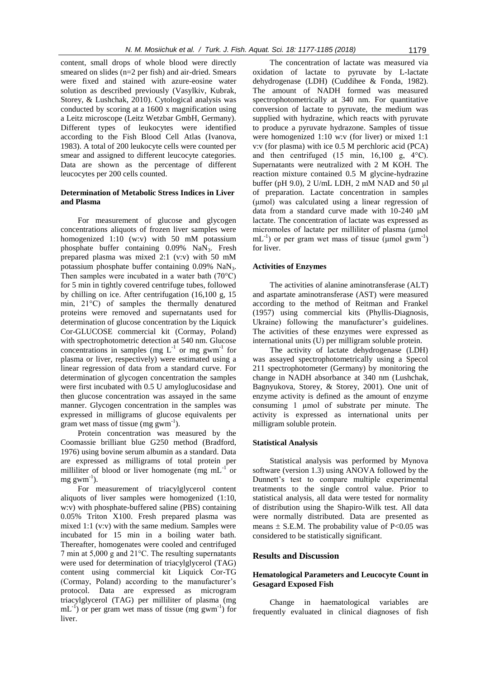content, small drops of whole blood were directly smeared on slides (n=2 per fish) and air-dried. Smears were fixed and stained with azure-eosine water solution as described previously (Vasylkiv, Kubrak, Storey, & Lushchak, 2010). Cytological analysis was conducted by scoring at a 1600 x magnification using a Leitz microscope (Leitz Wetzbar GmbH, Germany). Different types of leukocytes were identified according to the Fish Blood Cell Atlas (Ivanova, 1983). A total of 200 leukocyte cells were counted per smear and assigned to different leucocyte categories. Data are shown as the percentage of different leucocytes per 200 cells counted.

# **Determination of Metabolic Stress Indices in Liver and Plasma**

For measurement of glucose and glycogen concentrations aliquots of frozen liver samples were homogenized 1:10 (w:v) with 50 mM potassium phosphate buffer containing  $0.09\%$  NaN<sub>3</sub>. Fresh prepared plasma was mixed 2:1 (v:v) with 50 mM potassium phosphate buffer containing 0.09% NaN3. Then samples were incubated in a water bath (70°C) for 5 min in tightly covered centrifuge tubes, followed by chilling on ice. After centrifugation (16,100 g, 15 min, 21°C) of samples the thermally denatured proteins were removed and supernatants used for determination of glucose concentration by the Liquick Cor-GLUCOSE commercial kit (Cormay, Poland) with spectrophotometric detection at 540 nm. Glucose concentrations in samples (mg  $L^{-1}$  or mg gwm<sup>-1</sup> for plasma or liver, respectively) were estimated using a linear regression of data from a standard curve. For determination of glycogen concentration the samples were first incubated with 0.5 U amyloglucosidase and then glucose concentration was assayed in the same manner. Glycogen concentration in the samples was expressed in milligrams of glucose equivalents per gram wet mass of tissue (mg gwm $^{-1}$ ).

Protein concentration was measured by the Coomassie brilliant blue G250 method (Bradford, 1976) using bovine serum albumin as a standard. Data are expressed as milligrams of total protein per milliliter of blood or liver homogenate (mg  $mL^{-1}$  or  $mg gwm^{-1}$ ).

For measurement of triacylglycerol content aliquots of liver samples were homogenized (1:10, w:v) with phosphate-buffered saline (PBS) containing 0.05% Triton X100. Fresh prepared plasma was mixed 1:1 (v:v) with the same medium. Samples were incubated for 15 min in a boiling water bath. Thereafter, homogenates were cooled and centrifuged 7 min at 5,000 g and 21°C. The resulting supernatants were used for determination of triacylglycerol (TAG) content using commercial kit Liquick Cor-TG (Cormay, Poland) according to the manufacturer's protocol. Data are expressed as microgram triacylglycerol (TAG) per milliliter of plasma (mg  $mL^{-1}$ ) or per gram wet mass of tissue (mg gwm<sup>-1</sup>) for liver.

The concentration of lactate was measured via oxidation of lactate to pyruvate by L-lactate dehydrogenase (LDH) (Cuddihee & Fonda, 1982). The amount of NADH formed was measured spectrophotometrically at 340 nm. For quantitative conversion of lactate to pyruvate, the medium was supplied with hydrazine, which reacts with pyruvate to produce a pyruvate hydrazone. Samples of tissue were homogenized 1:10 w:v (for liver) or mixed 1:1 v:v (for plasma) with ice 0.5 M perchloric acid (PCA) and then centrifuged (15 min, 16,100 g, 4°C). Supernatants were neutralized with 2 M KOH. The reaction mixture contained 0.5 M glycine-hydrazine buffer (pH 9.0), 2 U/mL LDH, 2 mM NAD and 50 μl of preparation. Lactate concentration in samples (μmol) was calculated using a linear regression of data from a standard curve made with 10-240 μM lactate. The concentration of lactate was expressed as micromoles of lactate per milliliter of plasma (μmol  $mL^{-1}$ ) or per gram wet mass of tissue ( $\mu$ mol gwm<sup>-1</sup>) for liver.

# **Activities of Enzymes**

The activities of alanine aminotransferase (ALT) and aspartate aminotransferase (AST) were measured according to the method of Reitman and Frankel (1957) using commercial kits (Phyllis-Diagnosis, Ukraine) following the manufacturer's guidelines. The activities of these enzymes were expressed as international units (U) per milligram soluble protein.

The activity of lactate dehydrogenase (LDH) was assayed spectrophotometrically using a Specol 211 spectrophotometer (Germany) by monitoring the change in NADH absorbance at 340 nm (Lushchak, Bagnyukova, Storey, & Storey, 2001). One unit of enzyme activity is defined as the amount of enzyme consuming 1 µmol of substrate per minute. The activity is expressed as international units per milligram soluble protein.

# **Statistical Analysis**

Statistical analysis was performed by Mynova software (version 1.3) using ANOVA followed by the Dunnett's test to compare multiple experimental treatments to the single control value. Prior to statistical analysis, all data were tested for normality of distribution using the Shapiro-Wilk test. All data were normally distributed. Data are presented as means  $\pm$  S.E.M. The probability value of P<0.05 was considered to be statistically significant.

# **Results and Discussion**

# **Hematological Parameters and Leucocyte Count in Gesagard Exposed Fish**

Change in haematological variables are frequently evaluated in clinical diagnoses of fish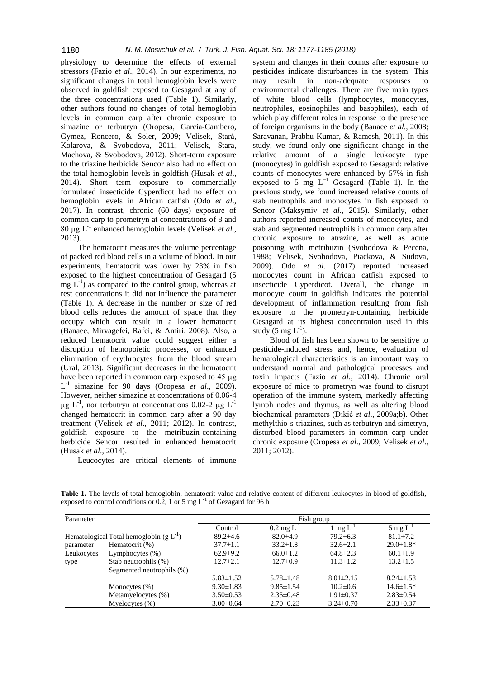physiology to determine the effects of external stressors (Fazio *et al*., 2014). In our experiments, no significant changes in total hemoglobin levels were observed in goldfish exposed to Gesagard at any of the three concentrations used (Table 1). Similarly, other authors found no changes of total hemoglobin levels in common carp after chronic exposure to simazine or terbutryn (Oropesa, Garcia-Cambero, Gymez, Roncero, & Soler, 2009; Velisek, Stará, Kolarova, & Svobodova, 2011; Velisek, Stara, Machova, & Svobodova, 2012). Short-term exposure to the triazine herbicide Sencor also had no effect on the total hemoglobin levels in goldfish (Husak *et al*., 2014). Short term exposure to commercially formulated insecticide Cyperdicot had no effect on hemoglobin levels in African catfish (Odo *et al*., 2017). In contrast, chronic (60 days) exposure of common carp to prometryn at concentrations of 8 and 80 µg L-1 enhanced hemoglobin levels (Velisek *et al*., 2013).

The hematocrit measures the volume percentage of packed red blood cells in a volume of blood. In our experiments, hematocrit was lower by 23% in fish exposed to the highest concentration of Gesagard (5  $mg L^{-1}$ ) as compared to the control group, whereas at rest concentrations it did not influence the parameter (Table 1). A decrease in the number or size of red blood cells reduces the amount of space that they occupy which can result in a lower hematocrit (Banaee, Mirvagefei, Rafei, & Amiri, 2008). Also, a reduced hematocrit value could suggest either a disruption of hemopoietic processes, or enhanced elimination of erythrocytes from the blood stream (Ural, 2013). Significant decreases in the hematocrit have been reported in common carp exposed to 45 µg L -1 simazine for 90 days (Oropesa *et al*., 2009). However, neither simazine at concentrations of 0.06-4  $\mu$ g L<sup>-1</sup>, nor terbutryn at concentrations 0.02-2  $\mu$ g L<sup>-1</sup> changed hematocrit in common carp after a 90 day treatment (Velisek *et al*., 2011; 2012). In contrast, goldfish exposure to the metribuzin-containing herbicide Sencor resulted in enhanced hematocrit (Husak *et al*., 2014).

Leucocytes are critical elements of immune

system and changes in their counts after exposure to pesticides indicate disturbances in the system. This may result in non-adequate responses to environmental challenges. There are five main types of white blood cells (lymphocytes, monocytes, neutrophiles, eosinophiles and basophiles), each of which play different roles in response to the presence of foreign organisms in the body (Banaee *et al*., 2008; Saravanan, Prabhu Kumar, & Ramesh, 2011). In this study, we found only one significant change in the relative amount of a single leukocyte type (monocytes) in goldfish exposed to Gesagard: relative counts of monocytes were enhanced by 57% in fish exposed to 5 mg  $L^{-1}$  Gesagard (Table 1). In the previous study, we found increased relative counts of stab neutrophils and monocytes in fish exposed to Sencor (Maksymiv *et al*., 2015). Similarly, other authors reported increased counts of monocytes, and stab and segmented neutrophils in common carp after chronic exposure to atrazine, as well as acute poisoning with metribuzin (Svobodova & Pecena, 1988; Velisek, Svobodova, Piackova, & Sudova, 2009). Odo *et al*. (2017) reported increased monocytes count in African catfish exposed to insecticide Cyperdicot. Overall, the change in monocyte count in goldfish indicates the potential development of inflammation resulting from fish exposure to the prometryn-containing herbicide Gesagard at its highest concentration used in this study  $(5 \text{ mg L}^{-1})$ .

Blood of fish has been shown to be sensitive to pesticide-induced stress and, hence, evaluation of hematological characteristics is an important way to understand normal and pathological processes and toxin impacts (Fazio *et al*.*,* 2014). Chronic oral exposure of mice to prometryn was found to disrupt operation of the immune system, markedly affecting lymph nodes and thymus, as well as altering blood biochemical parameters (Dikić *et al*., 2009a;b). Other methylthio-s-triazines, such as terbutryn and simetryn, disturbed blood parameters in common carp under chronic exposure (Oropesa *et al*., 2009; Velisek *et al*., 2011; 2012).

**Table 1.** The levels of total hemoglobin, hematocrit value and relative content of different leukocytes in blood of goldfish, exposed to control conditions or 0.2, 1 or 5 mg  $L^{-1}$  of Gezagard for 96 h

| Parameter                                |                           | Fish group      |                                        |                        |                  |  |
|------------------------------------------|---------------------------|-----------------|----------------------------------------|------------------------|------------------|--|
|                                          |                           | Control         | $0.2 \,\mathrm{mg} \, \mathrm{L}^{-1}$ | $1 \text{ mg } L^{-1}$ | 5 mg $L^{-1}$    |  |
| Hematological Total hemoglobin $(g L-1)$ |                           | $89.2 \pm 4.6$  | $82.0 \pm 4.9$                         | $79.2 \pm 6.3$         | $81.1 \pm 7.2$   |  |
| parameter                                | Hematocrit (%)            | $37.7 \pm 1.1$  | $33.2 \pm 1.8$                         | $32.6 \pm 2.1$         | $29.0 \pm 1.8^*$ |  |
| Leukocytes                               | Lymphocytes $(\%)$        | $62.9 \pm 9.2$  | $66.0 \pm 1.2$                         | $64.8 \pm 2.3$         | $60.1 \pm 1.9$   |  |
| type                                     | Stab neutrophils (%)      | $12.7 \pm 2.1$  | $12.7 \pm 0.9$                         | $11.3 \pm 1.2$         | $13.2 \pm 1.5$   |  |
|                                          | Segmented neutrophils (%) |                 |                                        |                        |                  |  |
|                                          |                           | $5.83 \pm 1.52$ | $5.78 \pm 1.48$                        | $8.01 \pm 2.15$        | $8.24 \pm 1.58$  |  |
|                                          | Monocytes $(\% )$         | $9.30 \pm 1.83$ | $9.85 \pm 1.54$                        | $10.2 \pm 0.6$         | $14.6 \pm 1.5*$  |  |
|                                          | Metamyelocytes (%)        | $3.50\pm0.53$   | $2.35 \pm 0.48$                        | $1.91 \pm 0.37$        | $2.83 \pm 0.54$  |  |
|                                          | Myelocytes $(\% )$        | $3.00\pm0.64$   | $2.70 \pm 0.23$                        | $3.24 \pm 0.70$        | $2.33 \pm 0.37$  |  |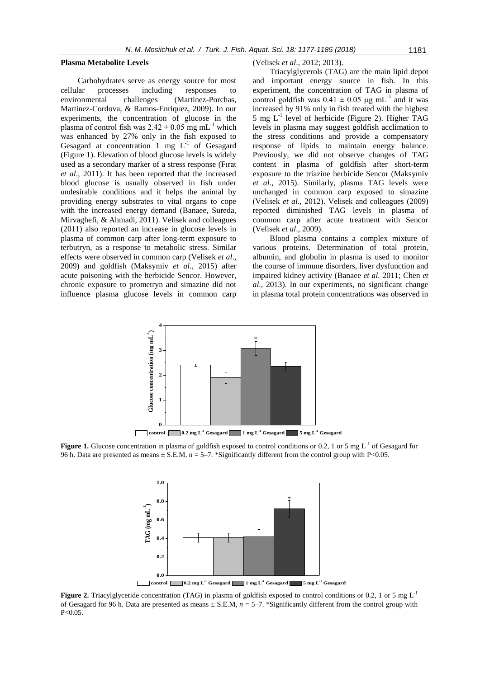#### **Plasma Metabolite Levels**

Carbohydrates serve as energy source for most cellular processes including responses to environmental challenges (Martinez-Porchas, Martinez-Cordova, & Ramos-Enriquez, 2009). In our experiments, the concentration of glucose in the plasma of control fish was  $2.42 \pm 0.05$  mg mL<sup>-1</sup> which was enhanced by 27% only in the fish exposed to Gesagard at concentration 1 mg  $L^{-1}$  of Gesagard (Figure 1). Elevation of blood glucose levels is widely used as a secondary marker of a stress response (Fırat *et al*., 2011). It has been reported that the increased blood glucose is usually observed in fish under undesirable conditions and it helps the animal by providing energy substrates to vital organs to cope with the increased energy demand (Banaee, Sureda, Mirvaghefi, & Ahmadi, 2011). Velisek and colleagues (2011) also reported an increase in glucose levels in plasma of common carp after long-term exposure to terbutryn, as a response to metabolic stress. Similar effects were observed in common carp (Velisek *et al*., 2009) and goldfish (Maksymiv *et al*., 2015) after acute poisoning with the herbicide Sencor. However, chronic exposure to prometryn and simazine did not influence plasma glucose levels in common carp

#### (Velisek *et al*., 2012; 2013).

Triacylglycerols (TAG) are the main lipid depot and important energy source in fish. In this experiment, the concentration of TAG in plasma of control goldfish was  $0.41 \pm 0.05$  µg mL<sup>-1</sup> and it was increased by 91% only in fish treated with the highest  $5$  mg  $L^{-1}$  level of herbicide (Figure 2). Higher TAG levels in plasma may suggest goldfish acclimation to the stress conditions and provide a compensatory response of lipids to maintain energy balance. Previously, we did not observe changes of TAG content in plasma of goldfish after short-term exposure to the triazine herbicide Sencor (Maksymiv *et al*., 2015). Similarly, plasma TAG levels were unchanged in common carp exposed to simazine (Velisek *et al*., 2012). Velisek and colleagues (2009) reported diminished TAG levels in plasma of common carp after acute treatment with Sencor (Velisek *et al*., 2009).

Blood plasma contains a complex mixture of various proteins. Determination of total protein, albumin, and globulin in plasma is used to monitor the course of immune disorders, liver dysfunction and impaired kidney activity (Banaee *et al.* 2011; Chen *et al*., 2013). In our experiments, no significant change in plasma total protein concentrations was observed in



**control 0.2 mg L-1 Gesagard 1 mg L-1 Gesagard 5 mg L-1 Gesagard**

**Figure 1.** Glucose concentration in plasma of goldfish exposed to control conditions or 0.2, 1 or 5 mg  $L^{-1}$  of Gesagard for 96 h. Data are presented as means  $\pm$  S.E.M,  $n = 5-7$ . \*Significantly different from the control group with P<0.05.



**control 0.2 mg L-1 Gesagard 1 mg L-1 Gesagard 5 mg L-1 Gesagard**

**Figure 2.** Triacylglyceride concentration (TAG) in plasma of goldfish exposed to control conditions or 0.2, 1 or 5 mg L<sup>-1</sup> of Gesagard for 96 h. Data are presented as means  $\pm$  S.E.M,  $n = 5-7$ . \*Significantly different from the control group with P<0.05.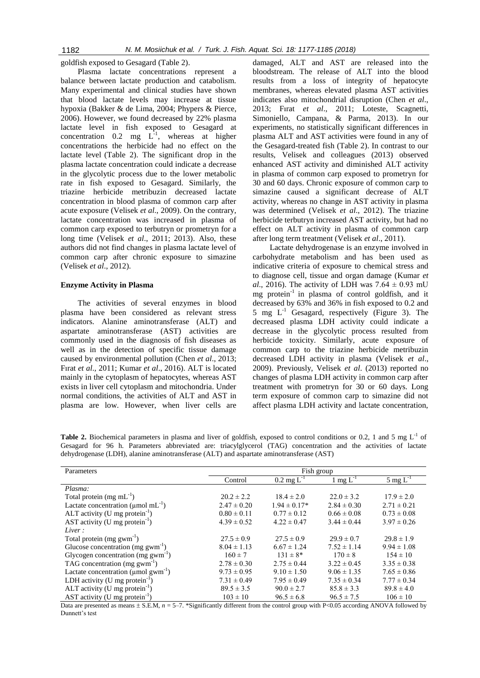goldfish exposed to Gesagard (Table 2).

Plasma lactate concentrations represent a balance between lactate production and catabolism. Many experimental and clinical studies have shown that blood lactate levels may increase at tissue hypoxia (Bakker & de Lima, 2004; Phypers & Pierce, 2006). However, we found decreased by 22% plasma lactate level in fish exposed to Gesagard at concentration 0.2 mg  $L^{-1}$ , whereas at higher concentrations the herbicide had no effect on the lactate level (Table 2). The significant drop in the plasma lactate concentration could indicate a decrease in the glycolytic process due to the lower metabolic rate in fish exposed to Gesagard. Similarly, the triazine herbicide metribuzin decreased lactate concentration in blood plasma of common carp after acute exposure (Velisek *et al*., 2009). On the contrary, lactate concentration was increased in plasma of common carp exposed to terbutryn or prometryn for a long time (Velisek *et al*., 2011; 2013). Also, these authors did not find changes in plasma lactate level of common carp after chronic exposure to simazine (Velisek *et al*., 2012).

#### **Enzyme Activity in Plasma**

The activities of several enzymes in blood plasma have been considered as relevant stress indicators. Alanine aminotransferase (ALT) and aspartate aminotransferase (AST) activities are commonly used in the diagnosis of fish diseases as well as in the detection of specific tissue damage caused by environmental pollution (Chen *et al*., 2013; Fırat *et al*.*,* 2011; Kumar *et al*., 2016). ALT is located mainly in the cytoplasm of hepatocytes, whereas AST exists in liver cell cytoplasm and mitochondria. Under normal conditions, the activities of ALT and AST in plasma are low. However, when liver cells are

damaged, ALT and AST are released into the bloodstream. The release of ALT into the blood results from a loss of integrity of hepatocyte membranes, whereas elevated plasma AST activities indicates also mitochondrial disruption (Chen *et al*., 2013; Fırat *et al*., 2011; Loteste, Scagnetti, Simoniello, Campana, & Parma, 2013). In our experiments, no statistically significant differences in plasma ALT and AST activities were found in any of the Gesagard-treated fish (Table 2). In contrast to our results, Velisek and colleagues (2013) observed enhanced AST activity and diminished ALT activity in plasma of common carp exposed to prometryn for 30 and 60 days. Chronic exposure of common carp to simazine caused a significant decrease of ALT activity, whereas no change in AST activity in plasma was determined (Velisek *et al*., 2012). The triazine herbicide terbutryn increased AST activity, but had no effect on ALT activity in plasma of common carp after long term treatment (Velisek *et al*., 2011).

Lactate dehydrogenase is an enzyme involved in carbohydrate metabolism and has been used as indicative criteria of exposure to chemical stress and to diagnose cell, tissue and organ damage (Kumar *et al.*, 2016). The activity of LDH was  $7.64 \pm 0.93$  mU mg protein-1 in plasma of control goldfish, and it decreased by 63% and 36% in fish exposed to 0.2 and 5 mg  $L^{-1}$  Gesagard, respectively (Figure 3). The decreased plasma LDH activity could indicate a decrease in the glycolytic process resulted from herbicide toxicity. Similarly, acute exposure of common carp to the triazine herbicide metribuzin decreased LDH activity in plasma (Velisek *et al*., 2009). Previously, Velisek *et al*. (2013) reported no changes of plasma LDH activity in common carp after treatment with prometryn for 30 or 60 days. Long term exposure of common carp to simazine did not affect plasma LDH activity and lactate concentration,

**Table 2.** Biochemical parameters in plasma and liver of goldfish, exposed to control conditions or 0.2, 1 and 5 mg  $L<sup>-1</sup>$  of Gesagard for 96 h. Parameters abbreviated are: triacylglycerol (TAG) concentration and the activities of lactate dehydrogenase (LDH), alanine aminotransferase (ALT) and aspartate aminotransferase (AST)

| Parameters                                            | Fish group      |                          |                        |                                  |
|-------------------------------------------------------|-----------------|--------------------------|------------------------|----------------------------------|
|                                                       | Control         | $0.2 \text{ mg } L^{-1}$ | $1 \text{ mg } L^{-1}$ | $\frac{5 \text{ mg } L^{-1}}{2}$ |
| Plasma:                                               |                 |                          |                        |                                  |
| Total protein (mg $mL^{-1}$ )                         | $20.2 \pm 2.2$  | $18.4 \pm 2.0$           | $22.0 \pm 3.2$         | $17.9 \pm 2.0$                   |
| Lactate concentration ( $\mu$ mol mL <sup>-1</sup> )  | $2.47 \pm 0.20$ | $1.94 \pm 0.17*$         | $2.84 \pm 0.30$        | $2.71 \pm 0.21$                  |
| ALT activity (U mg protein $^{-1}$ )                  | $0.80 \pm 0.11$ | $0.77 \pm 0.12$          | $0.66 \pm 0.08$        | $0.73 \pm 0.08$                  |
| AST activity (U mg protein $^{-1}$ )                  | $4.39 \pm 0.52$ | $4.22 \pm 0.47$          | $3.44 \pm 0.44$        | $3.97 \pm 0.26$                  |
| Liver:                                                |                 |                          |                        |                                  |
| Total protein $(mg gwm^{-1})$                         | $27.5 \pm 0.9$  | $27.5 \pm 0.9$           | $29.9 \pm 0.7$         | $29.8 \pm 1.9$                   |
| Glucose concentration $(mg gwm-1)$                    | $8.04 \pm 1.13$ | $6.67 \pm 1.24$          | $7.52 \pm 1.14$        | $9.94 \pm 1.08$                  |
| Glycogen concentration (mg gwm <sup>-1</sup> )        | $160 \pm 7$     | $131 \pm 8*$             | $170 \pm 8$            | $154 \pm 10$                     |
| TAG concentration $(mg gwm-1)$                        | $2.78 \pm 0.30$ | $2.75 \pm 0.44$          | $3.22 \pm 0.45$        | $3.35 \pm 0.38$                  |
| Lactate concentration ( $\mu$ mol gwm <sup>-1</sup> ) | $9.73 \pm 0.95$ | $9.10 \pm 1.50$          | $9.06 \pm 1.35$        | $7.65 \pm 0.86$                  |
| LDH activity (U mg protein $^{-1}$ )                  | $7.31 \pm 0.49$ | $7.95 \pm 0.49$          | $7.35 \pm 0.34$        | $7.77 \pm 0.34$                  |
| ALT activity (U mg protein <sup>-1</sup> )            | $89.5 \pm 3.5$  | $90.0 \pm 2.7$           | $85.8 \pm 3.3$         | $89.8 \pm 4.0$                   |
| AST activity (U mg protein $^{-1}$ )                  | $103 \pm 10$    | $96.5 \pm 6.8$           | $96.5 \pm 7.5$         | $106 \pm 10$                     |

Data are presented as means  $\pm$  S.E.M,  $n = 5-7$ . \*Significantly different from the control group with P<0.05 according ANOVA followed by Dunnett's test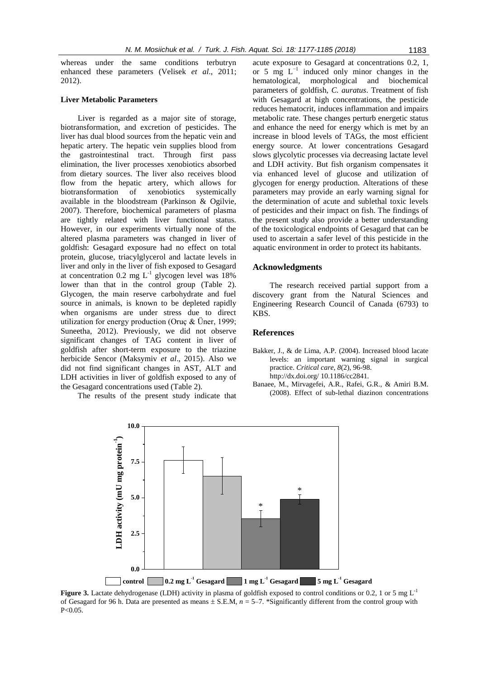whereas under the same conditions terbutryn enhanced these parameters (Velisek *et al*., 2011; 2012).

#### **Liver Metabolic Parameters**

Liver is regarded as a major site of storage, biotransformation, and excretion of pesticides. The liver has dual blood sources from the hepatic vein and hepatic artery. The hepatic vein supplies blood from the gastrointestinal tract. Through first pass elimination, the liver processes xenobiotics absorbed from dietary sources. The liver also receives blood flow from the hepatic artery, which allows for biotransformation of xenobiotics systemically available in the bloodstream (Parkinson & Ogilvie, 2007). Therefore, biochemical parameters of plasma are tightly related with liver functional status. However, in our experiments virtually none of the altered plasma parameters was changed in liver of goldfish: Gesagard exposure had no effect on total protein, glucose, triacylglycerol and lactate levels in liver and only in the liver of fish exposed to Gesagard at concentration  $0.2 \text{ mg } L^{-1}$  glycogen level was 18% lower than that in the control group (Table 2). Glycogen, the main reserve carbohydrate and fuel source in animals, is known to be depleted rapidly when organisms are under stress due to direct utilization for energy production (Oruç & Üner, 1999; Suneetha, 2012). Previously, we did not observe significant changes of TAG content in liver of goldfish after short-term exposure to the triazine herbicide Sencor (Maksymiv *et al*., 2015). Also we did not find significant changes in AST, ALT and LDH activities in liver of goldfish exposed to any of the Gesagard concentrations used (Table 2).

The results of the present study indicate that

acute exposure to Gesagard at concentrations 0.2, 1, or 5 mg  $L^{-1}$  induced only minor changes in the hematological, morphological and biochemical parameters of goldfish, *C. auratus*. Treatment of fish with Gesagard at high concentrations, the pesticide reduces hematocrit, induces inflammation and impairs metabolic rate. These changes perturb energetic status and enhance the need for energy which is met by an increase in blood levels of TAGs, the most efficient energy source. At lower concentrations Gesagard slows glycolytic processes via decreasing lactate level and LDH activity. But fish organism compensates it via enhanced level of glucose and utilization of glycogen for energy production. Alterations of these parameters may provide an early warning signal for the determination of acute and sublethal toxic levels of pesticides and their impact on fish. The findings of the present study also provide a better understanding of the toxicological endpoints of Gesagard that can be used to ascertain a safer level of this pesticide in the aquatic environment in order to protect its habitants.

# **Acknowledgments**

The research received partial support from a discovery grant from the Natural Sciences and Engineering Research Council of Canada (6793) to KBS.

# **References**

- Bakker, J., & de Lima, A.P. (2004). Increased blood lacate levels: an important warning signal in surgical practice. *Critical care*, *8*(2), 96-98. http://dx.doi.org/ 10.1186/cc2841.
- Banaee, M., Mirvagefei, A.R., Rafei, G.R., & Amiri B.M. (2008). Effect of sub-lethal diazinon concentrations



**Figure 3.** Lactate dehydrogenase (LDH) activity in plasma of goldfish exposed to control conditions or 0.2, 1 or 5 mg L<sup>-1</sup> of Gesagard for 96 h. Data are presented as means  $\pm$  S.E.M,  $n = 5-7$ . \*Significantly different from the control group with P<0.05.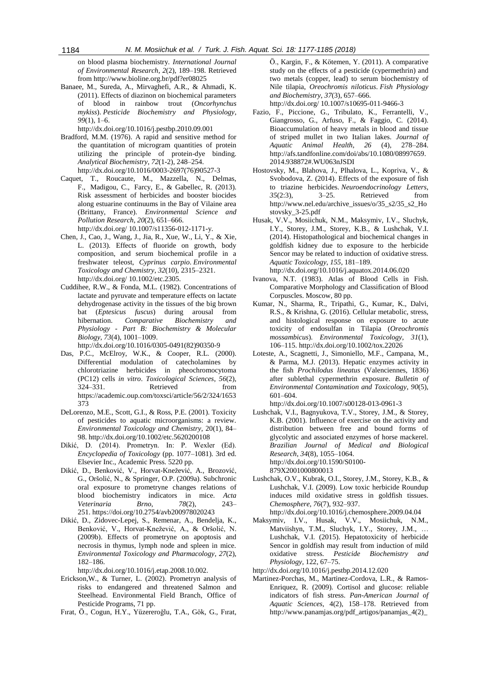on blood plasma biochemistry. *International Journal of Environmental Research*, *2*(2), 189–198. Retrieved from http://www.bioline.org.br/pdf?er08025

Banaee, M., Sureda, A., Mirvaghefi, A.R., & Ahmadi, K. (2011). Effects of diazinon on biochemical parameters of blood in rainbow trout (*Oncorhynchus mykiss*). *Pesticide Biochemistry and Physiology*, *99*(1), 1–6.

http://dx.doi.org/10.1016/j.pestbp.2010.09.001

- Bradford, M.M. (1976). A rapid and sensitive method for the quantitation of microgram quantities of protein utilizing the principle of protein-dye binding. *Analytical Biochemistry*, *72*(1-2), 248–254. http://dx.doi.org/10.1016/0003-2697(76)90527-3
- Caquet, T., Roucaute, M., Mazzella, N., [Delmas,](http://link.springer.com/search?facet-creator=%22F.+Delmas%22) F., [Madigou,](http://link.springer.com/search?facet-creator=%22C.+Madigou%22) C., [Farcy,](http://link.springer.com/search?facet-creator=%22E.+Farcy%22) E., & [Gabellec,](http://link.springer.com/search?facet-creator=%22R.+Gabellec%22) R. (2013). Risk assessment of herbicides and booster biocides along estuarine continuums in the Bay of Vilaine area (Brittany, France). *Environmental Science and Pollution Research*, *20*(2), 651–666. http://dx.doi.org/ 10.1007/s11356-012-1171-y.
- Chen, J., Cao, J., Wang, J., Jia, R., Xue, W., Li, Y., & Xie, L. (2013). Effects of fluoride on growth, body composition, and serum biochemical profile in a freshwater teleost, *Cyprinus carpio*. *Environmental Toxicology and Chemistry*, *32*(10), 2315–2321. http://dx.doi.org/ 10.1002/etc.2305.
- Cuddihee, R.W., & Fonda, M.L. (1982). Concentrations of lactate and pyruvate and temperature effects on lactate dehydrogenase activity in the tissues of the big brown bat (*Eptesicus fuscus*) during arousal from hibernation. *Comparative Biochemistry and Physiology - Part B: Biochemistry & Molecular Biology*, *73*(4), 1001–1009.

http://dx.doi.org/10.1016/0305-0491(82)90350-9

- Das, P.C., McElroy, W.K., & Cooper, R.L. (2000). Differential modulation of catecholamines by chlorotriazine herbicides in pheochromocytoma (PC12) cells *in vitro*. *Toxicological Sciences*, *56*(2), 324–331. Retrieved from https://academic.oup.com/toxsci/article/56/2/324/1653 373
- DeLorenzo, M.E., Scott, G.I., & Ross, P.E. (2001). Toxicity of pesticides to aquatic microorganisms: a review. *Environmental Toxicology and Chemistry*, 20(1), 84– 98. http://dx.doi.org/10.1002/etc.5620200108
- Dikić, D. (2014). Prometryn. In: P. Wexler (Ed). *Encyclopedia of Toxicology* (pp. 1077–1081). 3rd ed. Elsevier Inc., Academic Press. 5220 pp.
- Dikić, D., Benković, V., Horvat-Knežević, A., Brozović, G., Oršolić, N., & Springer, O.P. (2009a). Subchronic oral exposure to prometryne changes relations of blood biochemistry indicators in mice. *Acta Veterinaria Brno*, *78*(2), 243– 251. https://doi.org/10.2754/avb200978020243
- [Dikić,](http://www.ncbi.nlm.nih.gov/pubmed/?term=Diki%C4%87%20D%5BAuthor%5D&cauthor=true&cauthor_uid=21783937) D., [Zidovec-Lepej, S.](http://www.ncbi.nlm.nih.gov/pubmed/?term=Zidovec-Lepej%20S%5BAuthor%5D&cauthor=true&cauthor_uid=21783937), [Remenar, A.,](http://www.ncbi.nlm.nih.gov/pubmed/?term=Remenar%20A%5BAuthor%5D&cauthor=true&cauthor_uid=21783937) [Bendelja, K.](http://www.ncbi.nlm.nih.gov/pubmed/?term=Bendelja%20K%5BAuthor%5D&cauthor=true&cauthor_uid=21783937), [Benković, V.](http://www.ncbi.nlm.nih.gov/pubmed/?term=Benkovi%C4%87%20V%5BAuthor%5D&cauthor=true&cauthor_uid=21783937), [Horvat-Knežević, A.,](http://www.ncbi.nlm.nih.gov/pubmed/?term=Horvat-Kne%C5%BEevi%C4%87%20A%5BAuthor%5D&cauthor=true&cauthor_uid=21783937) & [Oršolić, N.](http://www.ncbi.nlm.nih.gov/pubmed/?term=Or%C5%A1oli%C4%87%20N%5BAuthor%5D&cauthor=true&cauthor_uid=21783937) (2009b). Effects of prometryne on apoptosis and necrosis in thymus, lymph node and spleen in mice. *Environmental Toxicology and Pharmacology*, *27*(2), 182–186.

http://dx.doi.org/10.1016/j.etap.2008.10.002.

- Erickson,W., & Turner, L. (2002). Prometryn analysis of risks to endangered and threatened Salmon and Steelhead. Environmental Field Branch, Office of Pesticide Programs, 71 pp.
- Fırat, Ö., Cogun, H.Y., Yüzereroğlu, T.A., Gök, G., Fırat,

Ö., Kargin, F., & Kötemen, Y. (2011). A comparative study on the effects of a pesticide (cypermethrin) and two metals (copper, lead) to serum biochemistry of Nile tilapia, *Oreochromis niloticus*. *Fish Physiology and Biochemistry*, *37*(3), 657–666.

http://dx.doi.org/ 10.1007/s10695-011-9466-3

- Fazio, F., Piccione, G., Tribulato, K., Ferrantelli, V., Giangrosso, G., Arfuso, F., & Faggio, C. (2014). Bioaccumulation of heavy metals in blood and tissue of striped mullet in two Italian lakes. *Journal of Aquatic Animal Health*, *26* (4), 278–284. http://afs.tandfonline.com/doi/abs/10.1080/08997659. 2014.938872#.WU063nJSDI
- Hostovsky, M., Blahova, J., Plhalova, L., Kopriva, V., & Svobodova, Z. (2014). Effects of the exposure of fish to triazine herbicides. *Neuroendocrinology Letters*, *35*(2:3), 3–25. Retrieved from http://www.nel.edu/archive\_issues/o/35\_s2/35\_s2\_Ho stovsky\_3-25.pdf
- Husak, V.V., Mosiichuk, N.M., Maksymiv, I.V., Sluchyk, I.Y., Storey, J.M., Storey, K.B., & Lushchak, V.I. (2014)[. Histopathological and biochemical changes in](http://www.ncbi.nlm.nih.gov/pubmed/25036620)  [goldfish kidney due to exposure to the herbicide](http://www.ncbi.nlm.nih.gov/pubmed/25036620)  [Sencor may be related to induction of oxidative stress.](http://www.ncbi.nlm.nih.gov/pubmed/25036620) *Aquatic Toxicology*, *155*, 181–189. http://dx.doi.org/10.1016/j.aquatox.2014.06.020
- Ivanova, N.T. (1983). Atlas of Blood Cells in Fish. Comparative Morphology and Classification of Blood Corpuscles. Moscow, 80 pp.
- Kumar, N., Sharma, R., Tripathi, G., Kumar, K., Dalvi, R.S., & Krishna, G. (2016). Cellular metabolic, stress, and histological response on exposure to acute toxicity of endosulfan in Tilapia (*Oreochromis mossambicus*). *Environmental Toxicology*, *31*(1), 106–115. http://dx.doi.org/10.1002/tox.22026
- Loteste, A., Scagnetti, J., Simoniello, M.F., Campana, M., & Parma, M.J. (2013). Hepatic enzymes activity in the fish *Prochilodus lineatus* (Valenciennes, 1836) after sublethal cypermethrin exposure. *Bulletin of Environmental Contamination and Toxicology*, *90*(5), 601–604.

http://dx.doi.org/10.1007/s00128-013-0961-3

- Lushchak, V.I., Bagnyukova, T.V., Storey, J.M., & Storey, K.B. (2001). Influence of exercise on the activity and distribution between free and bound forms of glycolytic and associated enzymes of horse mackerel. *Brazilian Journal of Medical and Biological Research*, *34*(8), 1055–1064. http://dx.doi.org/10.1590/S0100- 879X2001000800013
- Lushchak, O.V., Kubrak, O.I., Storey, J.M., Storey, K.B., & Lushchak, V.I. (2009). Low toxic herbicide Roundup induces mild oxidative stress in goldfish tissues. *Chemosphere*, *76*(7), 932–937.

http://dx.doi.org/10.1016/j.chemosphere.2009.04.04

- Maksymiv, I.V., Husak, V.V., Mosiichuk, N.M., Matviishyn, T.M., Sluchyk, I.Y., Storey, J.M., … Lushchak, V.I. (2015). Hepatotoxicity of herbicide Sencor in goldfish may result from induction of mild oxidative stress. *Pesticide Biochemistry and Physiology*, 122, 67–75.
- http://dx.doi.org/10.1016/j.pestbp.2014.12.020
- Martinez-Porchas, M., Martinez-Cordova, L.R., & Ramos-Enriquez, R. (2009). Cortisol and glucose: reliable indicators of fish stress. *Pan-American Journal of Aquatic Sciences*, 4(2), 158–178. Retrieved from http://www.panamjas.org/pdf\_artigos/panamjas\_4(2)\_